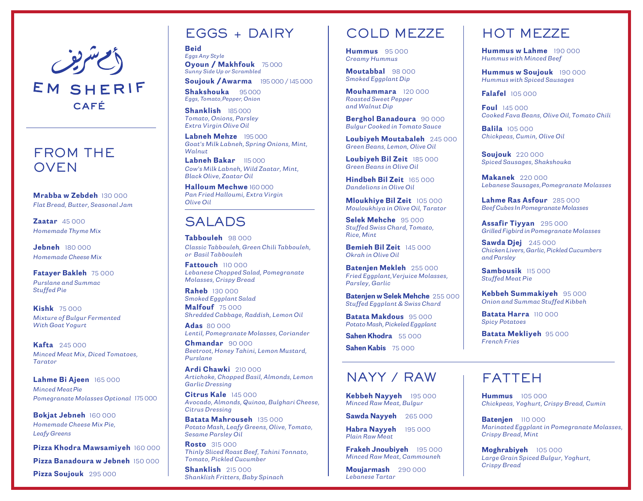

# CAFÉ

#### FROM THE OVEN

*Mrabba w Zebdeh 130 000 Flat Bread, Butter, Seasonal Jam*

*Zaatar 45 000 Homemade Thyme Mix*

*Jebneh 180 000 Homemade Cheese Mix*

#### *Fatayer Bakleh 75 000 Purslane and Summac Stuffed Pie*

*Kishk 75 000 Mixture of Bulgur Fermented With Goat Yogurt*

*Kafta 245 000 Minced Meat Mix, Diced Tomatoes, Tarator*

*Lahme Bi Ajeen 165 000 Minced Meat Pie Pomegranate Molasses Optional 175 000*

*Bokjat Jebneh 160 000 Homemade Cheese Mix Pie, Leafy Greens*

*Pizza Khodra Mawsamiyeh 160 000*

*Pizza Banadoura w Jebneh 150 000*

*Pizza Soujouk 295 000*

# EGGS + DAIRY

*Beid Eggs Any Style Oyoun / Makhfouk 75 000 Sunny Side Up or Scrambled*

*Soujouk /Awarma 195 000 / 145 000 Shakshouka 95 000 Eggs, Tomato,Pepper, Onion*

*Shanklish 185 000 Tomato, Onions, Parsley Extra Virgin Olive Oil*

*Labneh Mehze 195 000 Goat's Milk Labneh, Spring Onions, Mint, Walnut*

*Labneh Bakar 115 000 Cow's Milk Labneh, Wild Zaatar, Mint, Black Olive, Zaatar Oil*

*Halloum Mechwe 160 000 Pan Fried Halloumi, Extra Virgin Olive Oil*

### SALADS

*Tabbouleh 98 000 Classic Tabbouleh, Green Chili Tabbouleh, or Basil Tabbouleh*

*Fattouch 110 000 Lebanese Chopped Salad, Pomegranate Molasses, Crispy Bread* 

*Raheb 130 000 Smoked Eggplant Salad Malfouf 75 000* 

*Shredded Cabbage, Raddish, Lemon Oil*

*Adas 80 000 Lentil, Pomegranate Molasses, Coriander*

*Chmandar 90 000 Beetroot, Honey Tahini, Lemon Mustard, Purslane*

*Ardi Chawki 210 000 Artichoke, Chopped Basil, Almonds, Lemon Garlic Dressing*

*Citrus Kale 145 000 Avocado, Almonds, Quinoa, Bulghari Cheese, Citrus Dressing*

*Batata Mahrouseh 135 000 Potato Mash, Leafy Greens, Olive, Tomato, Sesame Parsley Oil*

*Rosto 315 000 Thinly Sliced Roast Beef, Tahini Tonnato, Tomato, Pickled Cucumber*

*Shanklish 215 000 Shanklish Fritters, Baby Spinach*

#### COLD MEZZE

*Hummus 95 000 Creamy Hummus*

*Moutabbal 98 000 Smoked Eggplant Dip*

*Mouhammara 120 000 Roasted Sweet Pepper and Walnut Dip*

*Berghol Banadoura 90 000 Bulgur Cooked in Tomato Sauce*

*Loubiyeh Moutabaleh 245 000 Green Beans, Lemon, Olive Oil* 

*Loubiyeh Bil Zeit 185 000 Green Beans in Olive Oil*

*Hindbeh Bil Zeit 165 000 Dandelions in Olive Oil*

*Mloukhiye Bil Zeit 105 000 Mouloukhiya in Olive Oil, Tarator*

*Selek Mehche 95 000 Stuffed Swiss Chard, Tomato, Rice, Mint*

*Bemieh Bil Zeit 145 000 Okrah in Olive Oil*

*Batenjen Mekleh 255 000 Fried Eggplant,Verjuice Molasses, Parsley, Garlic*

*Batenjen w Selek Mehche 255 000 Stuffed Eggplant & Swiss Chard*

*Batata Makdous 95 000 Potato Mash, Pickeled Eggplant*

*Sahen Khodra 55 000*

*Sahen Kabis 75 000*

#### NAYY / RAW | FATTEH

*Kebbeh Nayyeh 195 000 Minced Raw Meat, Bulgur*

*Sawda Nayyeh 265 000*

*Habra Nayyeh 195 000 Plain Raw Meat*

*Frakeh Jnoubiyeh 195 000 Minced Raw Meat, Cammouneh*

*Moujarmash 290 000 Lebanese Tartar*

# HOT MEZZE

*Hummus w Lahme 190 000 Hummus with Minced Beef*

*Hummus w Soujouk 190 000 Hummus with Spiced Sausages*

*Falafel 105 000*

*Foul 145 000 Cooked Fava Beans, Olive Oil, Tomato Chili*

*Balila 105 000 Chickpeas, Cumin, Olive Oil*

*Soujouk 220 000 Spiced Sausages, Shakshouka*

*Makanek 220 000 Lebanese Sausages, Pomegranate Molasses*

*Lahme Ras Asfour 285 000 Beef Cubes In Pomegranate Molasses*

*Assafir Tiyyan 295 000 Grilled Figbird in Pomegranate Molasses*

*Sawda Djej 245 000 Chicken Livers, Garlic, Pickled Cucumbers and Parsley*

*Sambousik 115 000 Stuffed Meat Pie*

*Kebbeh Summakiyeh 95 000 Onion and Summac Stuffed Kibbeh*

*Batata Harra 110 000 Spicy Potatoes*

*Batata Mekliyeh 95 000 French Fries*

*Hummus 105 000 Chickpeas, Yoghurt, Crispy Bread, Cumin*

*Batenjen 110 000 Marinated Eggplant in Pomegranate Molasses, Crispy Bread, Mint*

*Moghrabiyeh 105 000 Large Grain Spiced Bulgur, Yoghurt, Crispy Bread*